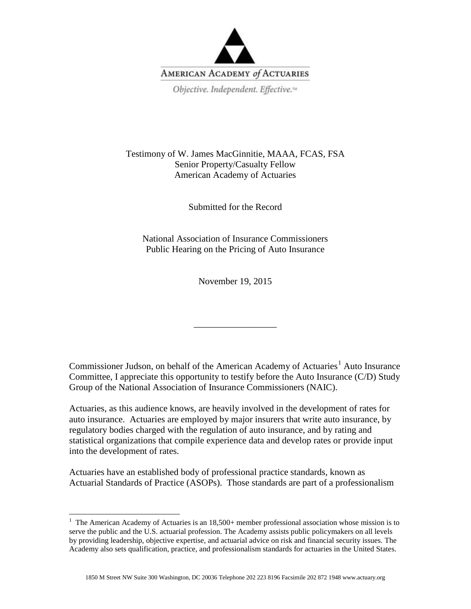

Testimony of W. James MacGinnitie, MAAA, FCAS, FSA Senior Property/Casualty Fellow American Academy of Actuaries

Submitted for the Record

National Association of Insurance Commissioners Public Hearing on the Pricing of Auto Insurance

November 19, 2015

\_\_\_\_\_\_\_\_\_\_\_\_\_\_\_\_\_\_

Commissioner Judson, on behalf of the American Academy of Actuaries<sup>[1](#page-0-0)</sup> Auto Insurance Committee, I appreciate this opportunity to testify before the Auto Insurance (C/D) Study Group of the National Association of Insurance Commissioners (NAIC).

Actuaries, as this audience knows, are heavily involved in the development of rates for auto insurance. Actuaries are employed by major insurers that write auto insurance, by regulatory bodies charged with the regulation of auto insurance, and by rating and statistical organizations that compile experience data and develop rates or provide input into the development of rates.

Actuaries have an established body of professional practice standards, known as Actuarial Standards of Practice (ASOPs). Those standards are part of a professionalism

<span id="page-0-0"></span><sup>&</sup>lt;sup>1</sup> The American Academy of Actuaries is an 18,500+ member professional association whose mission is to serve the public and the U.S. actuarial profession. The Academy assists public policymakers on all levels by providing leadership, objective expertise, and actuarial advice on risk and financial security issues. The Academy also sets qualification, practice, and professionalism standards for actuaries in the United States.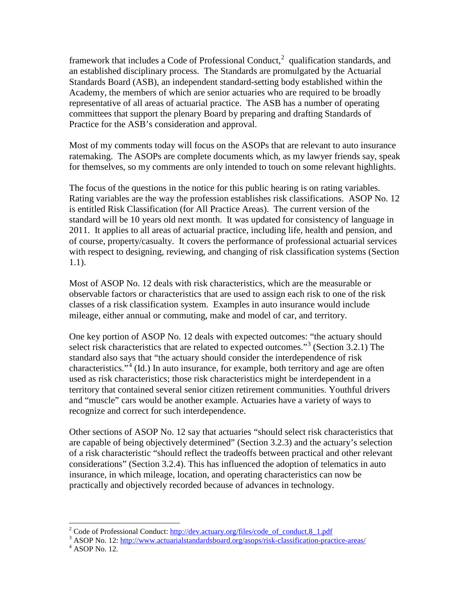framework that includes a Code of Professional Conduct,<sup>[2](#page-1-0)</sup> qualification standards, and an established disciplinary process. The Standards are promulgated by the Actuarial Standards Board (ASB), an independent standard-setting body established within the Academy, the members of which are senior actuaries who are required to be broadly representative of all areas of actuarial practice. The ASB has a number of operating committees that support the plenary Board by preparing and drafting Standards of Practice for the ASB's consideration and approval.

Most of my comments today will focus on the ASOPs that are relevant to auto insurance ratemaking. The ASOPs are complete documents which, as my lawyer friends say, speak for themselves, so my comments are only intended to touch on some relevant highlights.

The focus of the questions in the notice for this public hearing is on rating variables. Rating variables are the way the profession establishes risk classifications. ASOP No. 12 is entitled Risk Classification (for All Practice Areas). The current version of the standard will be 10 years old next month. It was updated for consistency of language in 2011. It applies to all areas of actuarial practice, including life, health and pension, and of course, property/casualty. It covers the performance of professional actuarial services with respect to designing, reviewing, and changing of risk classification systems (Section 1.1).

Most of ASOP No. 12 deals with risk characteristics, which are the measurable or observable factors or characteristics that are used to assign each risk to one of the risk classes of a risk classification system. Examples in auto insurance would include mileage, either annual or commuting, make and model of car, and territory.

One key portion of ASOP No. 12 deals with expected outcomes: "the actuary should select risk characteristics that are related to expected outcomes."<sup>[3](#page-1-1)</sup> (Section 3.2.1) The standard also says that "the actuary should consider the interdependence of risk characteristics."<sup>[4](#page-1-2)</sup> (Id.) In auto insurance, for example, both territory and age are often used as risk characteristics; those risk characteristics might be interdependent in a territory that contained several senior citizen retirement communities. Youthful drivers and "muscle" cars would be another example. Actuaries have a variety of ways to recognize and correct for such interdependence.

Other sections of ASOP No. 12 say that actuaries "should select risk characteristics that are capable of being objectively determined" (Section 3.2.3) and the actuary's selection of a risk characteristic "should reflect the tradeoffs between practical and other relevant considerations" (Section 3.2.4). This has influenced the adoption of telematics in auto insurance, in which mileage, location, and operating characteristics can now be practically and objectively recorded because of advances in technology.

<span id="page-1-1"></span><span id="page-1-0"></span><sup>&</sup>lt;sup>2</sup> Code of Professional Conduct:  $\frac{http://dev.actuary.org/files/code_of_conduct.8_1.pdf}{\text{ASOP No. 12: }\frac{http://www.actuarialstandardsboad.org/asops/risk-classification-practic-areas/}\text{4 ASOP No. 12.}}$ 

<span id="page-1-2"></span>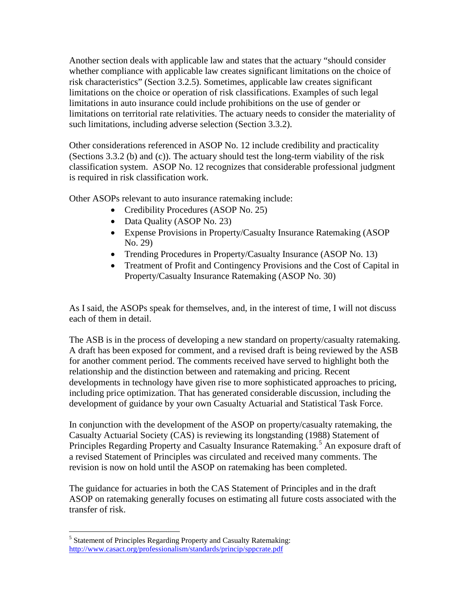Another section deals with applicable law and states that the actuary "should consider whether compliance with applicable law creates significant limitations on the choice of risk characteristics" (Section 3.2.5). Sometimes, applicable law creates significant limitations on the choice or operation of risk classifications. Examples of such legal limitations in auto insurance could include prohibitions on the use of gender or limitations on territorial rate relativities. The actuary needs to consider the materiality of such limitations, including adverse selection (Section 3.3.2).

Other considerations referenced in ASOP No. 12 include credibility and practicality (Sections 3.3.2 (b) and (c)). The actuary should test the long-term viability of the risk classification system. ASOP No. 12 recognizes that considerable professional judgment is required in risk classification work.

Other ASOPs relevant to auto insurance ratemaking include:

- Credibility Procedures (ASOP No. 25)
- Data Quality (ASOP No. 23)
- Expense Provisions in Property/Casualty Insurance Ratemaking (ASOP No. 29)
- Trending Procedures in Property/Casualty Insurance (ASOP No. 13)
- Treatment of Profit and Contingency Provisions and the Cost of Capital in Property/Casualty Insurance Ratemaking (ASOP No. 30)

As I said, the ASOPs speak for themselves, and, in the interest of time, I will not discuss each of them in detail.

The ASB is in the process of developing a new standard on property/casualty ratemaking. A draft has been exposed for comment, and a revised draft is being reviewed by the ASB for another comment period. The comments received have served to highlight both the relationship and the distinction between and ratemaking and pricing. Recent developments in technology have given rise to more sophisticated approaches to pricing, including price optimization. That has generated considerable discussion, including the development of guidance by your own Casualty Actuarial and Statistical Task Force.

In conjunction with the development of the ASOP on property/casualty ratemaking, the Casualty Actuarial Society (CAS) is reviewing its longstanding (1988) Statement of Principles Regarding Property and Casualty Insurance Ratemaking.<sup>[5](#page-2-0)</sup> An exposure draft of a revised Statement of Principles was circulated and received many comments. The revision is now on hold until the ASOP on ratemaking has been completed.

The guidance for actuaries in both the CAS Statement of Principles and in the draft ASOP on ratemaking generally focuses on estimating all future costs associated with the transfer of risk.

<span id="page-2-0"></span> $<sup>5</sup>$  Statement of Principles Regarding Property and Casualty Ratemaking:</sup> <http://www.casact.org/professionalism/standards/princip/sppcrate.pdf>